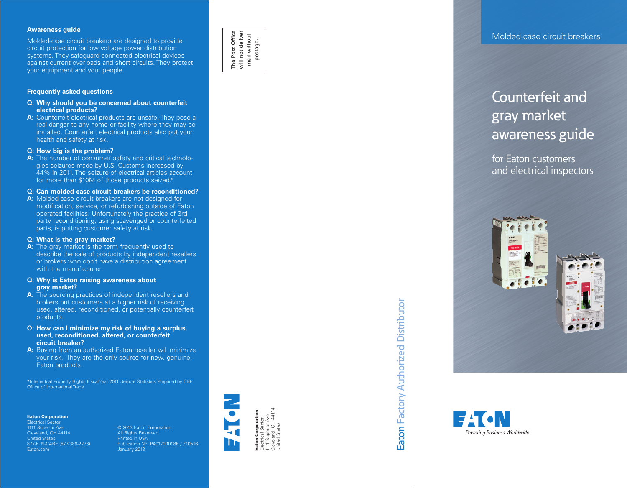#### **Awareness guide**

Molded-case circuit breakers are designed to provide circuit protection for low voltage power distribution systems. They safeguard connected electrical devices against current overloads and short circuits. They protect your equipment and your people.

#### **Frequently asked questions**

#### **Q: Why should you be concerned about counterfeit electrical products?**

**A:** Counterfeit electrical products are unsafe. They pose a real danger to any home or facility where they may be installed. Counterfeit electrical products also put your health and safety at risk.

#### **Q: How big is the problem?**

**A:** The number of consumer safety and critical technolo gies seizures made by U.S. Customs increased by 44% in 2011. The seizure of electrical articles account for more than \$10M of those products seized.**\***

#### **Q: Can molded case circuit breakers be reconditioned?**

**A:** Molded-case circuit breakers are not designed for modification, service, or refurbishing outside of Eaton operated facilities. Unfortunately the practice of 3rd party reconditioning, using scavenged or counterfeited parts, is putting customer safety at risk.

#### **Q: What is the gray market?**

- **A:** The gray market is the term frequently used to describe the sale of products by independent resellers or brokers who don't have a distribution agreement with the manufacturer.
- **Q: Why is Eaton raising awareness about gray market?**
- **A:** The sourcing practices of independent resellers and brokers put customers at a higher risk of receiving used, altered, reconditioned, or potentially counterfeit products.
- **Q: How can I minimize my risk of buying a surplus, used, reconditioned, altered, or counterfeit circuit breaker?**
- **A:** Buying from an authorized Eaton reseller will minimize your risk. They are the only source for new, genuine, Eaton products.

**\***Intellectual Property Rights Fiscal Year 2011 Seizure Statistics Prepared by CBP Office of International Trade

#### **Eaton Corporation**

Electrical Sector 1111 Superior Ave. Cleveland, OH 44114 United States 877-ETN-CARE (877-386-2273) Eaton.com

© 2013 Eaton Corporation All Rights Reserved Printed in USA Publication No. PA01200008E / Z10516 January 2013



The Post Office will not deliver mail without postage.

The Post Office<br>will not deliver<br>mail without

ctrical Sector<br>1 Superior Ave.<br>veland, OH 44114<br>ted States Cleveland, OH 44114 Eaton Corporation<br>Electrical Sector **Eaton Corporation** 1111 Superior Ave. Electrical Sector United States



#### Molded-case circuit breakers

### Counterfeit and gray market awareness guide

for Eaton customers and electrical inspectors